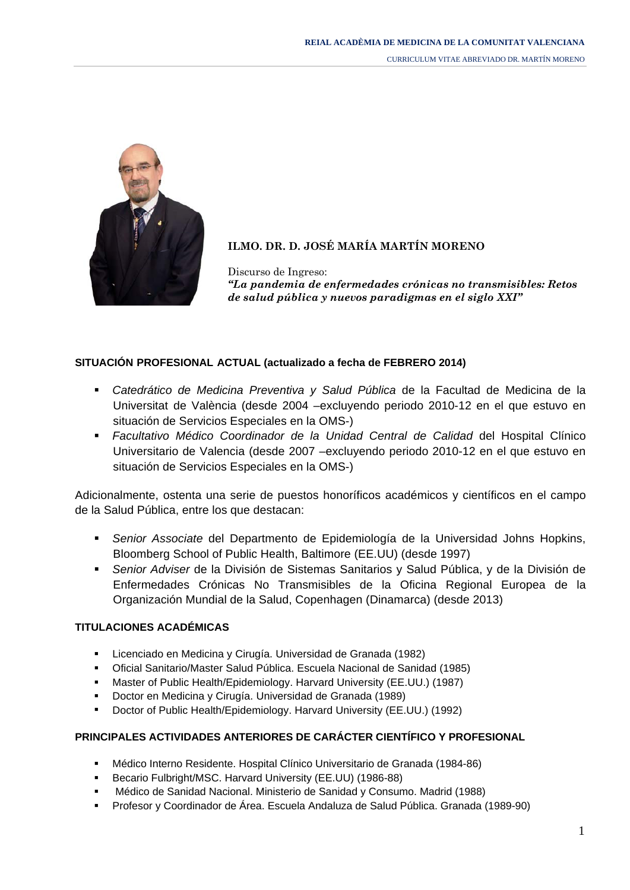CURRICULUM VITAE ABREVIADO DR. MARTÍN MORENO



# **ILMO. DR. D. JOSÉ MARÍA MARTÍN MORENO**

Discurso de Ingreso: *"La pandemia de enfermedades crónicas no transmisibles: Retos de salud pública y nuevos paradigmas en el siglo XXI"* 

## **SITUACIÓN PROFESIONAL ACTUAL (actualizado a fecha de FEBRERO 2014)**

- *Catedrático de Medicina Preventiva y Salud Pública* de la Facultad de Medicina de la Universitat de València (desde 2004 –excluyendo periodo 2010-12 en el que estuvo en situación de Servicios Especiales en la OMS-)
- *Facultativo Médico Coordinador de la Unidad Central de Calidad* del Hospital Clínico Universitario de Valencia (desde 2007 –excluyendo periodo 2010-12 en el que estuvo en situación de Servicios Especiales en la OMS-)

Adicionalmente, ostenta una serie de puestos honoríficos académicos y científicos en el campo de la Salud Pública, entre los que destacan:

- *Senior Associate* del Departmento de Epidemiología de la Universidad Johns Hopkins, Bloomberg School of Public Health, Baltimore (EE.UU) (desde 1997)
- *Senior Adviser* de la División de Sistemas Sanitarios y Salud Pública, y de la División de Enfermedades Crónicas No Transmisibles de la Oficina Regional Europea de la Organización Mundial de la Salud, Copenhagen (Dinamarca) (desde 2013)

### **TITULACIONES ACADÉMICAS**

- Licenciado en Medicina y Cirugía. Universidad de Granada (1982)
- Oficial Sanitario/Master Salud Pública. Escuela Nacional de Sanidad (1985)
- Master of Public Health/Epidemiology. Harvard University (EE.UU.) (1987)
- Doctor en Medicina y Cirugía. Universidad de Granada (1989)
- Doctor of Public Health/Epidemiology. Harvard University (EE.UU.) (1992)

# **PRINCIPALES ACTIVIDADES ANTERIORES DE CARÁCTER CIENTÍFICO Y PROFESIONAL**

- Médico Interno Residente. Hospital Clínico Universitario de Granada (1984-86)
- Becario Fulbright/MSC. Harvard University (EE.UU) (1986-88)
- Médico de Sanidad Nacional. Ministerio de Sanidad y Consumo. Madrid (1988)
- Profesor y Coordinador de Área. Escuela Andaluza de Salud Pública. Granada (1989-90)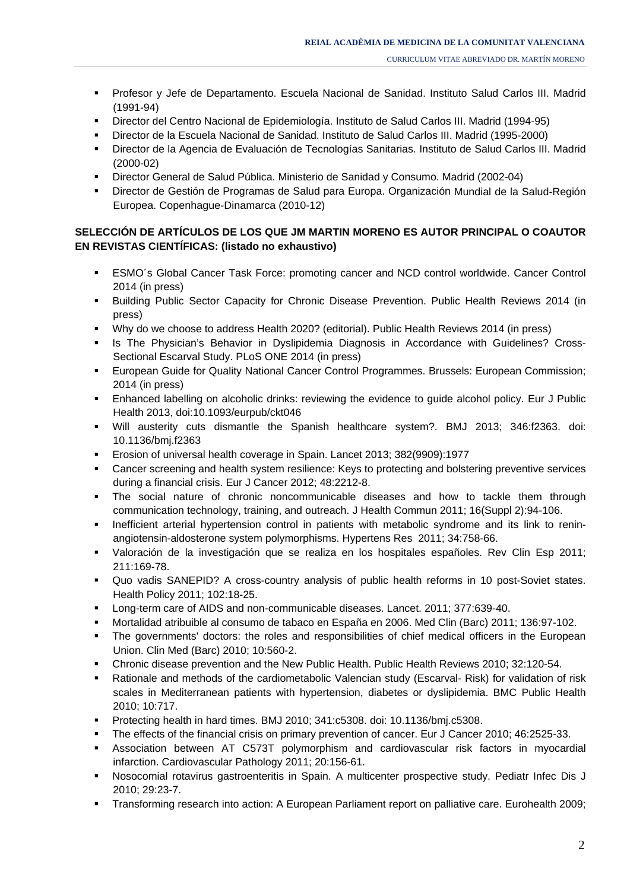- Profesor y Jefe de Departamento. Escuela Nacional de Sanidad. Instituto Salud Carlos III. Madrid (1991-94)
- Director del Centro Nacional de Epidemiología. Instituto de Salud Carlos III. Madrid (1994-95)
- Director de la Escuela Nacional de Sanidad. Instituto de Salud Carlos III. Madrid (1995-2000)
- Director de la Agencia de Evaluación de Tecnologías Sanitarias. Instituto de Salud Carlos III. Madrid (2000-02)
- Director General de Salud Pública. Ministerio de Sanidad y Consumo. Madrid (2002-04)
- Director de Gestión de Programas de Salud para Europa. Organización Mundial de la Salud-Región Europea. Copenhague-Dinamarca (2010-12)

## **SELECCIÓN DE ARTÍCULOS DE LOS QUE JM MARTIN MORENO ES AUTOR PRINCIPAL O COAUTOR EN REVISTAS CIENTÍFICAS: (listado no exhaustivo)**

- ESMO´s Global Cancer Task Force: promoting cancer and NCD control worldwide. Cancer Control 2014 (in press)
- Building Public Sector Capacity for Chronic Disease Prevention. Public Health Reviews 2014 (in press)
- Why do we choose to address Health 2020? (editorial). Public Health Reviews 2014 (in press)
- **Is The Physician's Behavior in Dyslipidemia Diagnosis in Accordance with Guidelines? Cross-**Sectional Escarval Study. PLoS ONE 2014 (in press)
- European Guide for Quality National Cancer Control Programmes. Brussels: European Commission; 2014 (in press)
- **Enhanced labelling on alcoholic drinks: reviewing the evidence to guide alcohol policy. Eur J Public** Health 2013, doi:10.1093/eurpub/ckt046
- Will austerity cuts dismantle the Spanish healthcare system?. BMJ 2013; 346:f2363. doi: 10.1136/bmj.f2363
- Erosion of universal health coverage in Spain. Lancet 2013; 382(9909):1977
- Cancer screening and health system resilience: Keys to protecting and bolstering preventive services during a financial crisis. Eur J Cancer 2012; 48:2212-8.
- The social nature of chronic noncommunicable diseases and how to tackle them through communication technology, training, and outreach. J Health Commun 2011; 16(Suppl 2):94-106.
- **Inefficient arterial hypertension control in patients with metabolic syndrome and its link to renin**angiotensin-aldosterone system polymorphisms. Hypertens Res 2011; 34:758-66.
- Valoración de la investigación que se realiza en los hospitales españoles. Rev Clin Esp 2011; 211:169-78.
- Quo vadis SANEPID? A cross-country analysis of public health reforms in 10 post-Soviet states. Health Policy 2011; 102:18-25.
- Long-term care of AIDS and non-communicable diseases. Lancet. 2011; 377:639-40.
- Mortalidad atribuible al consumo de tabaco en España en 2006. Med Clin (Barc) 2011; 136:97-102.
- The governments' doctors: the roles and responsibilities of chief medical officers in the European Union. Clin Med (Barc) 2010; 10:560-2.
- Chronic disease prevention and the New Public Health. Public Health Reviews 2010; 32:120-54.
- Rationale and methods of the cardiometabolic Valencian study (Escarval- Risk) for validation of risk scales in Mediterranean patients with hypertension, diabetes or dyslipidemia. BMC Public Health 2010; 10:717.
- Protecting health in hard times. BMJ 2010; 341:c5308. doi: 10.1136/bmj.c5308.
- The effects of the financial crisis on primary prevention of cancer. Eur J Cancer 2010; 46:2525-33.
- Association between AT C573T polymorphism and cardiovascular risk factors in myocardial infarction. Cardiovascular Pathology 2011; 20:156-61.
- Nosocomial rotavirus gastroenteritis in Spain. A multicenter prospective study. Pediatr Infec Dis J 2010; 29:23-7.
- Transforming research into action: A European Parliament report on palliative care. Eurohealth 2009;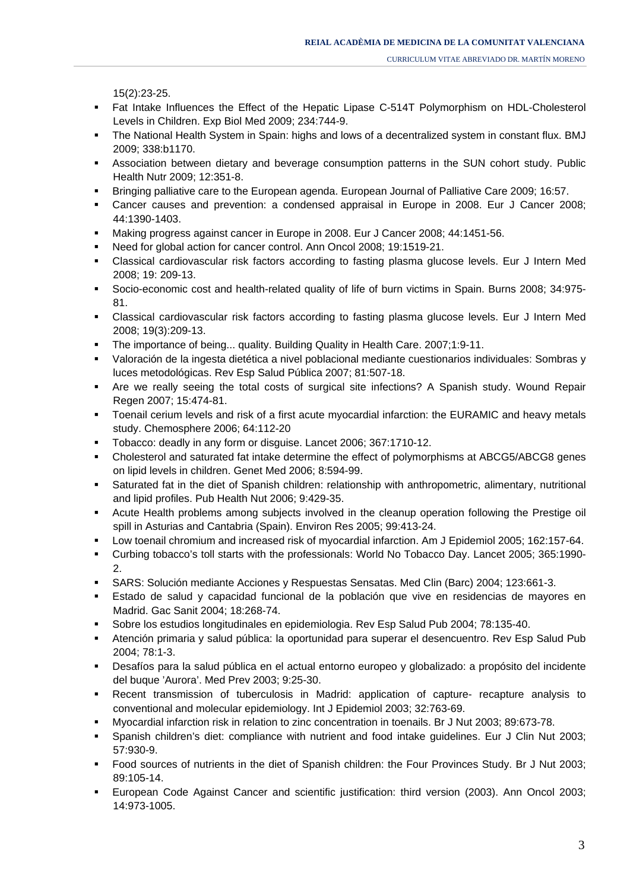15(2):23-25.

- Fat Intake Influences the Effect of the Hepatic Lipase C-514T Polymorphism on HDL-Cholesterol Levels in Children. Exp Biol Med 2009; 234:744-9.
- The National Health System in Spain: highs and lows of a decentralized system in constant flux. BMJ 2009; 338:b1170.
- Association between dietary and beverage consumption patterns in the SUN cohort study. Public Health Nutr 2009; 12:351-8.
- Bringing palliative care to the European agenda. European Journal of Palliative Care 2009; 16:57.
- Cancer causes and prevention: a condensed appraisal in Europe in 2008. Eur J Cancer 2008; 44:1390-1403.
- Making progress against cancer in Europe in 2008. Eur J Cancer 2008; 44:1451-56.
- Need for global action for cancer control. Ann Oncol 2008; 19:1519-21.
- Classical cardiovascular risk factors according to fasting plasma glucose levels. Eur J Intern Med 2008; 19: 209-13.
- Socio-economic cost and health-related quality of life of burn victims in Spain. Burns 2008; 34:975- 81.
- Classical cardiovascular risk factors according to fasting plasma glucose levels. Eur J Intern Med 2008; 19(3):209-13.
- The importance of being... quality. Building Quality in Health Care. 2007;1:9-11.
- Valoración de la ingesta dietética a nivel poblacional mediante cuestionarios individuales: Sombras y luces metodológicas. Rev Esp Salud Pública 2007; 81:507-18.
- Are we really seeing the total costs of surgical site infections? A Spanish study. Wound Repair Regen 2007; 15:474-81.
- Toenail cerium levels and risk of a first acute myocardial infarction: the EURAMIC and heavy metals study. Chemosphere 2006; 64:112-20
- Tobacco: deadly in any form or disguise. Lancet 2006; 367:1710-12.
- Cholesterol and saturated fat intake determine the effect of polymorphisms at ABCG5/ABCG8 genes on lipid levels in children. Genet Med 2006; 8:594-99.
- Saturated fat in the diet of Spanish children: relationship with anthropometric, alimentary, nutritional and lipid profiles. Pub Health Nut 2006; 9:429-35.
- Acute Health problems among subjects involved in the cleanup operation following the Prestige oil spill in Asturias and Cantabria (Spain). Environ Res 2005; 99:413-24.
- Low toenail chromium and increased risk of myocardial infarction. Am J Epidemiol 2005; 162:157-64.
- Curbing tobacco's toll starts with the professionals: World No Tobacco Day. Lancet 2005; 365:1990- 2.
- SARS: Solución mediante Acciones y Respuestas Sensatas. Med Clin (Barc) 2004; 123:661-3.
- Estado de salud y capacidad funcional de la población que vive en residencias de mayores en Madrid. Gac Sanit 2004; 18:268-74.
- Sobre los estudios longitudinales en epidemiologia. Rev Esp Salud Pub 2004; 78:135-40.
- Atención primaria y salud pública: la oportunidad para superar el desencuentro. Rev Esp Salud Pub 2004; 78:1-3.
- Desafíos para la salud pública en el actual entorno europeo y globalizado: a propósito del incidente del buque 'Aurora'. Med Prev 2003; 9:25-30.
- Recent transmission of tuberculosis in Madrid: application of capture- recapture analysis to conventional and molecular epidemiology. Int J Epidemiol 2003; 32:763-69.
- Myocardial infarction risk in relation to zinc concentration in toenails. Br J Nut 2003; 89:673-78.
- Spanish children's diet: compliance with nutrient and food intake guidelines. Eur J Clin Nut 2003; 57:930-9.
- Food sources of nutrients in the diet of Spanish children: the Four Provinces Study. Br J Nut 2003; 89:105-14.
- European Code Against Cancer and scientific justification: third version (2003). Ann Oncol 2003; 14:973-1005.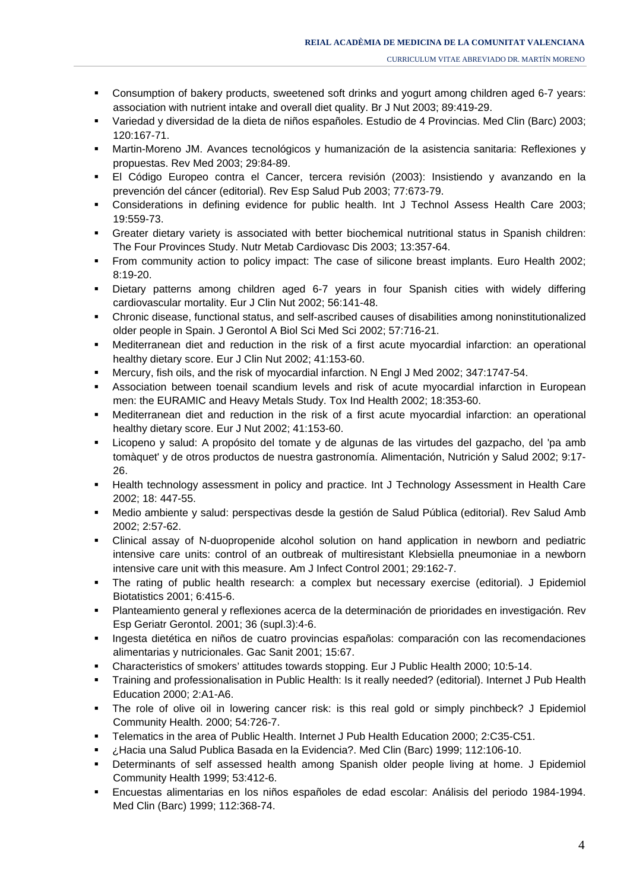- Consumption of bakery products, sweetened soft drinks and yogurt among children aged 6-7 years: association with nutrient intake and overall diet quality. Br J Nut 2003; 89:419-29.
- Variedad y diversidad de la dieta de niños españoles. Estudio de 4 Provincias. Med Clin (Barc) 2003; 120:167-71.
- Martin-Moreno JM. Avances tecnológicos y humanización de la asistencia sanitaria: Reflexiones y propuestas. Rev Med 2003; 29:84-89.
- El Código Europeo contra el Cancer, tercera revisión (2003): Insistiendo y avanzando en la prevención del cáncer (editorial). Rev Esp Salud Pub 2003; 77:673-79.
- Considerations in defining evidence for public health. Int J Technol Assess Health Care 2003; 19:559-73.
- Greater dietary variety is associated with better biochemical nutritional status in Spanish children: The Four Provinces Study. Nutr Metab Cardiovasc Dis 2003; 13:357-64.
- From community action to policy impact: The case of silicone breast implants. Euro Health 2002; 8:19-20.
- Dietary patterns among children aged 6-7 years in four Spanish cities with widely differing cardiovascular mortality. Eur J Clin Nut 2002; 56:141-48.
- Chronic disease, functional status, and self-ascribed causes of disabilities among noninstitutionalized older people in Spain. J Gerontol A Biol Sci Med Sci 2002; 57:716-21.
- Mediterranean diet and reduction in the risk of a first acute myocardial infarction: an operational healthy dietary score. Eur J Clin Nut 2002; 41:153-60.
- Mercury, fish oils, and the risk of myocardial infarction. N Engl J Med 2002; 347:1747-54.
- Association between toenail scandium levels and risk of acute myocardial infarction in European men: the EURAMIC and Heavy Metals Study. Tox Ind Health 2002; 18:353-60.
- Mediterranean diet and reduction in the risk of a first acute myocardial infarction: an operational healthy dietary score. Eur J Nut 2002; 41:153-60.
- Licopeno y salud: A propósito del tomate y de algunas de las virtudes del gazpacho, del 'pa amb tomàquet' y de otros productos de nuestra gastronomía. Alimentación, Nutrición y Salud 2002; 9:17- 26.
- **Health technology assessment in policy and practice. Int J Technology Assessment in Health Care** 2002; 18: 447-55.
- Medio ambiente y salud: perspectivas desde la gestión de Salud Pública (editorial). Rev Salud Amb 2002; 2:57-62.
- Clinical assay of N-duopropenide alcohol solution on hand application in newborn and pediatric intensive care units: control of an outbreak of multiresistant Klebsiella pneumoniae in a newborn intensive care unit with this measure. Am J Infect Control 2001; 29:162-7.
- The rating of public health research: a complex but necessary exercise (editorial). J Epidemiol Biotatistics 2001; 6:415-6.
- Planteamiento general y reflexiones acerca de la determinación de prioridades en investigación. Rev Esp Geriatr Gerontol. 2001; 36 (supl.3):4-6.
- Ingesta dietética en niños de cuatro provincias españolas: comparación con las recomendaciones alimentarias y nutricionales. Gac Sanit 2001; 15:67.
- Characteristics of smokers' attitudes towards stopping. Eur J Public Health 2000; 10:5-14.
- Training and professionalisation in Public Health: Is it really needed? (editorial). Internet J Pub Health Education 2000; 2:A1-A6.
- The role of olive oil in lowering cancer risk: is this real gold or simply pinchbeck? J Epidemiol Community Health. 2000; 54:726-7.
- Telematics in the area of Public Health. Internet J Pub Health Education 2000; 2:C35-C51.
- ¿Hacia una Salud Publica Basada en la Evidencia?. Med Clin (Barc) 1999; 112:106-10.
- Determinants of self assessed health among Spanish older people living at home. J Epidemiol Community Health 1999; 53:412-6.
- Encuestas alimentarias en los niños españoles de edad escolar: Análisis del periodo 1984-1994. Med Clin (Barc) 1999; 112:368-74.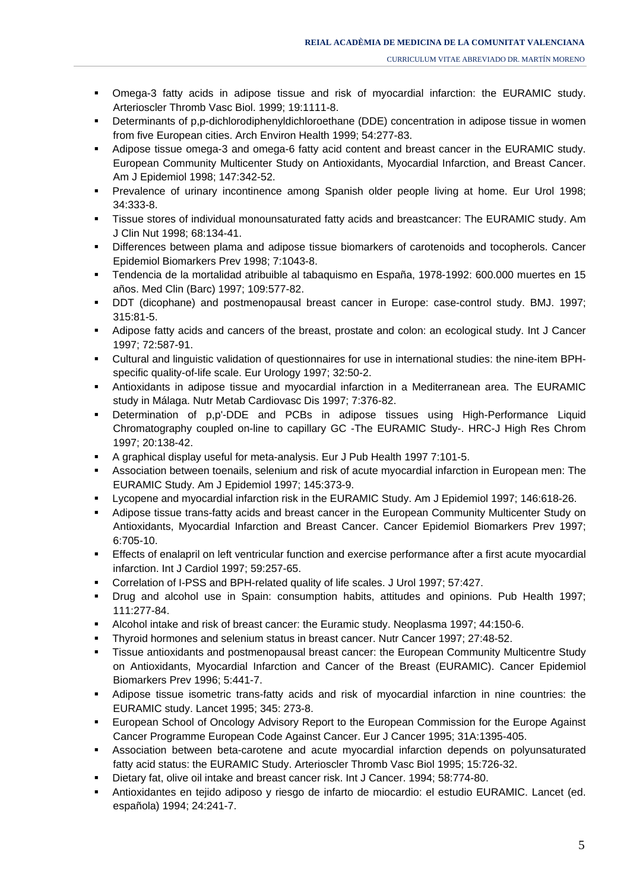- Determinants of p,p-dichlorodiphenyldichloroethane (DDE) concentration in adipose tissue in women from five European cities. Arch Environ Health 1999; 54:277-83.
- Adipose tissue omega-3 and omega-6 fatty acid content and breast cancer in the EURAMIC study. European Community Multicenter Study on Antioxidants, Myocardial Infarction, and Breast Cancer. Am J Epidemiol 1998; 147:342-52.
- Prevalence of urinary incontinence among Spanish older people living at home. Eur Urol 1998; 34:333-8.
- Tissue stores of individual monounsaturated fatty acids and breastcancer: The EURAMIC study. Am J Clin Nut 1998; 68:134-41.
- Differences between plama and adipose tissue biomarkers of carotenoids and tocopherols. Cancer Epidemiol Biomarkers Prev 1998; 7:1043-8.
- Tendencia de la mortalidad atribuible al tabaquismo en España, 1978-1992: 600.000 muertes en 15 años. Med Clin (Barc) 1997; 109:577-82.
- DDT (dicophane) and postmenopausal breast cancer in Europe: case-control study. BMJ. 1997; 315:81-5.
- Adipose fatty acids and cancers of the breast, prostate and colon: an ecological study. Int J Cancer 1997; 72:587-91.
- Cultural and linguistic validation of questionnaires for use in international studies: the nine-item BPHspecific quality-of-life scale. Eur Urology 1997; 32:50-2.
- Antioxidants in adipose tissue and myocardial infarction in a Mediterranean area. The EURAMIC study in Málaga. Nutr Metab Cardiovasc Dis 1997; 7:376-82.
- Determination of p,p'-DDE and PCBs in adipose tissues using High-Performance Liquid Chromatography coupled on-line to capillary GC -The EURAMIC Study-. HRC-J High Res Chrom 1997; 20:138-42.
- A graphical display useful for meta-analysis. Eur J Pub Health 1997 7:101-5.
- Association between toenails, selenium and risk of acute myocardial infarction in European men: The EURAMIC Study. Am J Epidemiol 1997; 145:373-9.
- Lycopene and myocardial infarction risk in the EURAMIC Study. Am J Epidemiol 1997; 146:618-26.
- Adipose tissue trans-fatty acids and breast cancer in the European Community Multicenter Study on Antioxidants, Myocardial Infarction and Breast Cancer. Cancer Epidemiol Biomarkers Prev 1997; 6:705-10.
- Effects of enalapril on left ventricular function and exercise performance after a first acute myocardial infarction. Int J Cardiol 1997; 59:257-65.
- Correlation of I-PSS and BPH-related quality of life scales. J Urol 1997; 57:427.
- Drug and alcohol use in Spain: consumption habits, attitudes and opinions. Pub Health 1997; 111:277-84.
- Alcohol intake and risk of breast cancer: the Euramic study. Neoplasma 1997; 44:150-6.
- Thyroid hormones and selenium status in breast cancer. Nutr Cancer 1997; 27:48-52.
- Tissue antioxidants and postmenopausal breast cancer: the European Community Multicentre Study on Antioxidants, Myocardial Infarction and Cancer of the Breast (EURAMIC). Cancer Epidemiol Biomarkers Prev 1996; 5:441-7.
- Adipose tissue isometric trans-fatty acids and risk of myocardial infarction in nine countries: the EURAMIC study. Lancet 1995; 345: 273-8.
- **European School of Oncology Advisory Report to the European Commission for the Europe Against** Cancer Programme European Code Against Cancer. Eur J Cancer 1995; 31A:1395-405.
- Association between beta-carotene and acute myocardial infarction depends on polyunsaturated fatty acid status: the EURAMIC Study. Arterioscler Thromb Vasc Biol 1995; 15:726-32.
- Dietary fat, olive oil intake and breast cancer risk. Int J Cancer. 1994; 58:774-80.
- Antioxidantes en tejido adiposo y riesgo de infarto de miocardio: el estudio EURAMIC. Lancet (ed. española) 1994; 24:241-7.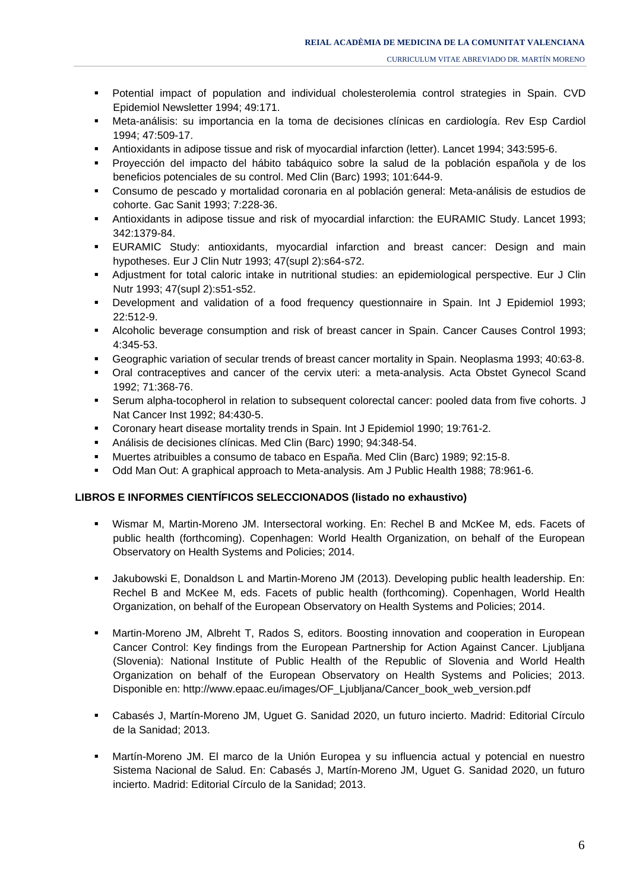- Potential impact of population and individual cholesterolemia control strategies in Spain. CVD Epidemiol Newsletter 1994; 49:171.
- Meta-análisis: su importancia en la toma de decisiones clínicas en cardiología. Rev Esp Cardiol 1994; 47:509-17.
- Antioxidants in adipose tissue and risk of myocardial infarction (letter). Lancet 1994; 343:595-6.
- Proyección del impacto del hábito tabáquico sobre la salud de la población española y de los beneficios potenciales de su control. Med Clin (Barc) 1993; 101:644-9.
- Consumo de pescado y mortalidad coronaria en al población general: Meta-análisis de estudios de cohorte. Gac Sanit 1993; 7:228-36.
- Antioxidants in adipose tissue and risk of myocardial infarction: the EURAMIC Study. Lancet 1993; 342:1379-84.
- EURAMIC Study: antioxidants, myocardial infarction and breast cancer: Design and main hypotheses. Eur J Clin Nutr 1993; 47(supl 2):s64-s72.
- Adjustment for total caloric intake in nutritional studies: an epidemiological perspective. Eur J Clin Nutr 1993; 47(supl 2):s51-s52.
- Development and validation of a food frequency questionnaire in Spain. Int J Epidemiol 1993; 22:512-9.
- Alcoholic beverage consumption and risk of breast cancer in Spain. Cancer Causes Control 1993; 4:345-53.
- Geographic variation of secular trends of breast cancer mortality in Spain. Neoplasma 1993; 40:63-8.
- Oral contraceptives and cancer of the cervix uteri: a meta-analysis. Acta Obstet Gynecol Scand 1992; 71:368-76.
- Serum alpha-tocopherol in relation to subsequent colorectal cancer: pooled data from five cohorts. J Nat Cancer Inst 1992; 84:430-5.
- Coronary heart disease mortality trends in Spain. Int J Epidemiol 1990; 19:761-2.
- Análisis de decisiones clínicas. Med Clin (Barc) 1990; 94:348-54.
- Muertes atribuibles a consumo de tabaco en España. Med Clin (Barc) 1989; 92:15-8.
- Odd Man Out: A graphical approach to Meta-analysis. Am J Public Health 1988; 78:961-6.

### **LIBROS E INFORMES CIENTÍFICOS SELECCIONADOS (listado no exhaustivo)**

- Wismar M, Martin-Moreno JM. Intersectoral working. En: Rechel B and McKee M, eds. Facets of public health (forthcoming). Copenhagen: World Health Organization, on behalf of the European Observatory on Health Systems and Policies; 2014.
- Jakubowski E, Donaldson L and Martin-Moreno JM (2013). Developing public health leadership. En: Rechel B and McKee M, eds. Facets of public health (forthcoming). Copenhagen, World Health Organization, on behalf of the European Observatory on Health Systems and Policies; 2014.
- Martin-Moreno JM, Albreht T, Rados S, editors. Boosting innovation and cooperation in European Cancer Control: Key findings from the European Partnership for Action Against Cancer. Ljubljana (Slovenia): National Institute of Public Health of the Republic of Slovenia and World Health Organization on behalf of the European Observatory on Health Systems and Policies; 2013. Disponible en: http://www.epaac.eu/images/OF\_Ljubljana/Cancer\_book\_web\_version.pdf
- Cabasés J, Martín-Moreno JM, Uguet G. Sanidad 2020, un futuro incierto. Madrid: Editorial Círculo de la Sanidad; 2013.
- Martín-Moreno JM. El marco de la Unión Europea y su influencia actual y potencial en nuestro Sistema Nacional de Salud. En: Cabasés J, Martín-Moreno JM, Uguet G. Sanidad 2020, un futuro incierto. Madrid: Editorial Círculo de la Sanidad; 2013.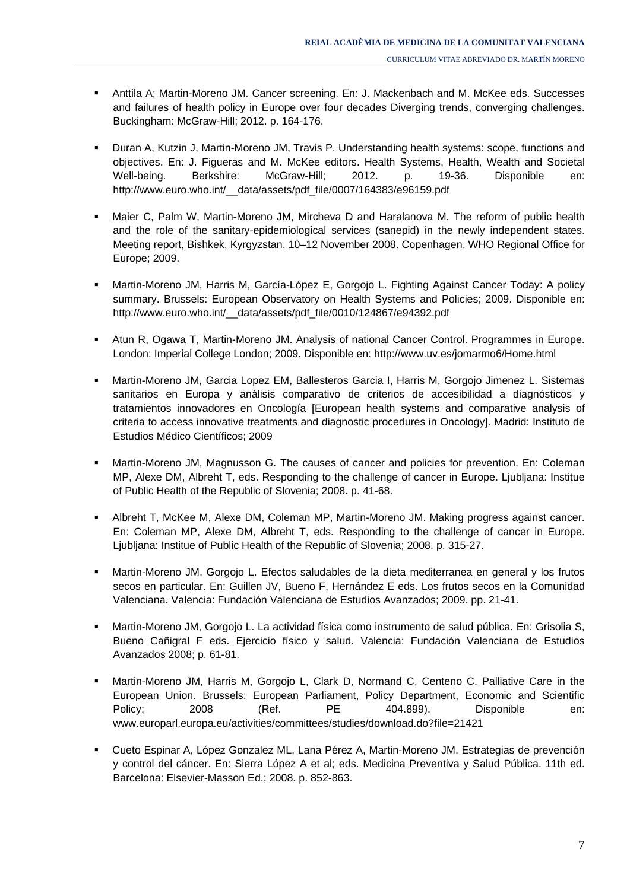- Anttila A; Martin-Moreno JM. Cancer screening. En: J. Mackenbach and M. McKee eds. Successes and failures of health policy in Europe over four decades Diverging trends, converging challenges. Buckingham: McGraw-Hill; 2012. p. 164-176.
- Duran A, Kutzin J, Martin-Moreno JM, Travis P. Understanding health systems: scope, functions and objectives. En: J. Figueras and M. McKee editors. Health Systems, Health, Wealth and Societal Well-being. Berkshire: McGraw-Hill; 2012. p. 19-36. Disponible en: http://www.euro.who.int/\_\_data/assets/pdf\_file/0007/164383/e96159.pdf
- Maier C, Palm W, Martin-Moreno JM, Mircheva D and Haralanova M. The reform of public health and the role of the sanitary-epidemiological services (sanepid) in the newly independent states. Meeting report, Bishkek, Kyrgyzstan, 10–12 November 2008. Copenhagen, WHO Regional Office for Europe; 2009.
- Martin-Moreno JM, Harris M, García-López E, Gorgojo L. Fighting Against Cancer Today: A policy summary. Brussels: European Observatory on Health Systems and Policies; 2009. Disponible en: http://www.euro.who.int/ data/assets/pdf file/0010/124867/e94392.pdf
- Atun R, Ogawa T, Martin-Moreno JM. Analysis of national Cancer Control. Programmes in Europe. London: Imperial College London; 2009. Disponible en: http://www.uv.es/jomarmo6/Home.html
- Martin-Moreno JM, Garcia Lopez EM, Ballesteros Garcia I, Harris M, Gorgojo Jimenez L. Sistemas sanitarios en Europa y análisis comparativo de criterios de accesibilidad a diagnósticos y tratamientos innovadores en Oncología [European health systems and comparative analysis of criteria to access innovative treatments and diagnostic procedures in Oncology]. Madrid: Instituto de Estudios Médico Científicos; 2009
- Martin-Moreno JM, Magnusson G. The causes of cancer and policies for prevention. En: Coleman MP, Alexe DM, Albreht T, eds. Responding to the challenge of cancer in Europe. Ljubljana: Institue of Public Health of the Republic of Slovenia; 2008. p. 41-68.
- Albreht T, McKee M, Alexe DM, Coleman MP, Martin-Moreno JM. Making progress against cancer. En: Coleman MP, Alexe DM, Albreht T, eds. Responding to the challenge of cancer in Europe. Ljubljana: Institue of Public Health of the Republic of Slovenia; 2008. p. 315-27.
- Martin-Moreno JM, Gorgojo L. Efectos saludables de la dieta mediterranea en general y los frutos secos en particular. En: Guillen JV, Bueno F, Hernández E eds. Los frutos secos en la Comunidad Valenciana. Valencia: Fundación Valenciana de Estudios Avanzados; 2009. pp. 21-41.
- Martin-Moreno JM, Gorgojo L. La actividad física como instrumento de salud pública. En: Grisolia S, Bueno Cañigral F eds. Ejercicio físico y salud. Valencia: Fundación Valenciana de Estudios Avanzados 2008; p. 61-81.
- Martin-Moreno JM, Harris M, Gorgojo L, Clark D, Normand C, Centeno C. Palliative Care in the European Union. Brussels: European Parliament, Policy Department, Economic and Scientific Policy; 2008 (Ref. PE 404.899). Disponible en: www.europarl.europa.eu/activities/committees/studies/download.do?file=21421
- Cueto Espinar A, López Gonzalez ML, Lana Pérez A, Martin-Moreno JM. Estrategias de prevención y control del cáncer. En: Sierra López A et al; eds. Medicina Preventiva y Salud Pública. 11th ed. Barcelona: Elsevier-Masson Ed.; 2008. p. 852-863.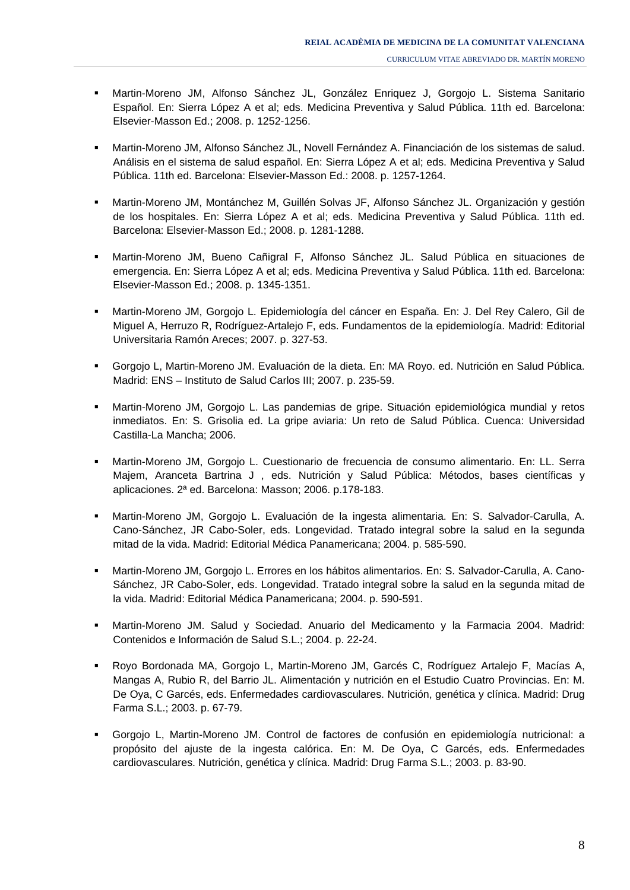- Martin-Moreno JM, Alfonso Sánchez JL, González Enriquez J, Gorgojo L. Sistema Sanitario Español. En: Sierra López A et al; eds. Medicina Preventiva y Salud Pública. 11th ed. Barcelona: Elsevier-Masson Ed.; 2008. p. 1252-1256.
- Martin-Moreno JM, Alfonso Sánchez JL, Novell Fernández A. Financiación de los sistemas de salud. Análisis en el sistema de salud español. En: Sierra López A et al; eds. Medicina Preventiva y Salud Pública. 11th ed. Barcelona: Elsevier-Masson Ed.: 2008. p. 1257-1264.
- Martin-Moreno JM, Montánchez M, Guillén Solvas JF, Alfonso Sánchez JL. Organización y gestión de los hospitales. En: Sierra López A et al; eds. Medicina Preventiva y Salud Pública. 11th ed. Barcelona: Elsevier-Masson Ed.; 2008. p. 1281-1288.
- Martin-Moreno JM, Bueno Cañigral F, Alfonso Sánchez JL. Salud Pública en situaciones de emergencia. En: Sierra López A et al; eds. Medicina Preventiva y Salud Pública. 11th ed. Barcelona: Elsevier-Masson Ed.; 2008. p. 1345-1351.
- Martin-Moreno JM, Gorgojo L. Epidemiología del cáncer en España. En: J. Del Rey Calero, Gil de Miguel A, Herruzo R, Rodríguez-Artalejo F, eds. Fundamentos de la epidemiología. Madrid: Editorial Universitaria Ramón Areces; 2007. p. 327-53.
- Gorgojo L, Martin-Moreno JM. Evaluación de la dieta. En: MA Royo. ed. Nutrición en Salud Pública. Madrid: ENS – Instituto de Salud Carlos III; 2007. p. 235-59.
- Martin-Moreno JM, Gorgojo L. Las pandemias de gripe. Situación epidemiológica mundial y retos inmediatos. En: S. Grisolia ed. La gripe aviaria: Un reto de Salud Pública. Cuenca: Universidad Castilla-La Mancha; 2006.
- Martin-Moreno JM, Gorgojo L. Cuestionario de frecuencia de consumo alimentario. En: LL. Serra Majem, Aranceta Bartrina J , eds. Nutrición y Salud Pública: Métodos, bases científicas y aplicaciones. 2ª ed. Barcelona: Masson; 2006. p.178-183.
- Martin-Moreno JM, Gorgojo L. Evaluación de la ingesta alimentaria. En: S. Salvador-Carulla, A. Cano-Sánchez, JR Cabo-Soler, eds. Longevidad. Tratado integral sobre la salud en la segunda mitad de la vida. Madrid: Editorial Médica Panamericana; 2004. p. 585-590.
- Martin-Moreno JM, Gorgojo L. Errores en los hábitos alimentarios. En: S. Salvador-Carulla, A. Cano-Sánchez, JR Cabo-Soler, eds. Longevidad. Tratado integral sobre la salud en la segunda mitad de la vida. Madrid: Editorial Médica Panamericana; 2004. p. 590-591.
- Martin-Moreno JM. Salud y Sociedad. Anuario del Medicamento y la Farmacia 2004. Madrid: Contenidos e Información de Salud S.L.; 2004. p. 22-24.
- Royo Bordonada MA, Gorgojo L, Martin-Moreno JM, Garcés C, Rodríguez Artalejo F, Macías A, Mangas A, Rubio R, del Barrio JL. Alimentación y nutrición en el Estudio Cuatro Provincias. En: M. De Oya, C Garcés, eds. Enfermedades cardiovasculares. Nutrición, genética y clínica. Madrid: Drug Farma S.L.; 2003. p. 67-79.
- Gorgojo L, Martin-Moreno JM. Control de factores de confusión en epidemiología nutricional: a propósito del ajuste de la ingesta calórica. En: M. De Oya, C Garcés, eds. Enfermedades cardiovasculares. Nutrición, genética y clínica. Madrid: Drug Farma S.L.; 2003. p. 83-90.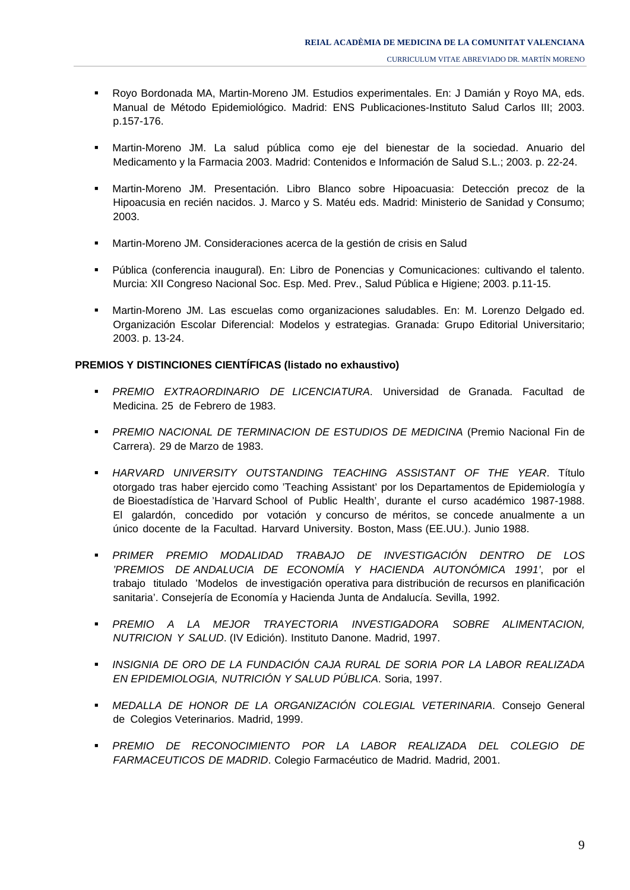- Royo Bordonada MA, Martin-Moreno JM. Estudios experimentales. En: J Damián y Royo MA, eds. Manual de Método Epidemiológico. Madrid: ENS Publicaciones-Instituto Salud Carlos III; 2003. p.157-176.
- Martin-Moreno JM. La salud pública como eje del bienestar de la sociedad. Anuario del Medicamento y la Farmacia 2003. Madrid: Contenidos e Información de Salud S.L.; 2003. p. 22-24.
- Martin-Moreno JM. Presentación. Libro Blanco sobre Hipoacuasia: Detección precoz de la Hipoacusia en recién nacidos. J. Marco y S. Matéu eds. Madrid: Ministerio de Sanidad y Consumo; 2003.
- Martin-Moreno JM. Consideraciones acerca de la gestión de crisis en Salud
- Pública (conferencia inaugural). En: Libro de Ponencias y Comunicaciones: cultivando el talento. Murcia: XII Congreso Nacional Soc. Esp. Med. Prev., Salud Pública e Higiene; 2003. p.11-15.
- Martin-Moreno JM. Las escuelas como organizaciones saludables. En: M. Lorenzo Delgado ed. Organización Escolar Diferencial: Modelos y estrategias. Granada: Grupo Editorial Universitario; 2003. p. 13-24.

## **PREMIOS Y DISTINCIONES CIENTÍFICAS (listado no exhaustivo)**

- *PREMIO EXTRAORDINARIO DE LICENCIATURA*. Universidad de Granada. Facultad de Medicina. 25 de Febrero de 1983.
- *PREMIO NACIONAL DE TERMINACION DE ESTUDIOS DE MEDICINA* (Premio Nacional Fin de Carrera). 29 de Marzo de 1983.
- *HARVARD UNIVERSITY OUTSTANDING TEACHING ASSISTANT OF THE YEAR*. Título otorgado tras haber ejercido como 'Teaching Assistant' por los Departamentos de Epidemiología y de Bioestadística de 'Harvard School of Public Health', durante el curso académico 1987-1988. El galardón, concedido por votación y concurso de méritos, se concede anualmente a un único docente de la Facultad. Harvard University. Boston, Mass (EE.UU.). Junio 1988.
- *PRIMER PREMIO MODALIDAD TRABAJO DE INVESTIGACIÓN DENTRO DE LOS 'PREMIOS DE ANDALUCIA DE ECONOMÍA Y HACIENDA AUTONÓMICA 1991'*, por el trabajo titulado 'Modelos de investigación operativa para distribución de recursos en planificación sanitaria'. Consejería de Economía y Hacienda Junta de Andalucía. Sevilla, 1992.
- *PREMIO A LA MEJOR TRAYECTORIA INVESTIGADORA SOBRE ALIMENTACION, NUTRICION Y SALUD*. (IV Edición). Instituto Danone. Madrid, 1997.
- *INSIGNIA DE ORO DE LA FUNDACIÓN CAJA RURAL DE SORIA POR LA LABOR REALIZADA EN EPIDEMIOLOGIA, NUTRICIÓN Y SALUD PÚBLICA*. Soria, 1997.
- *MEDALLA DE HONOR DE LA ORGANIZACIÓN COLEGIAL VETERINARIA*. Consejo General de Colegios Veterinarios. Madrid, 1999.
- *PREMIO DE RECONOCIMIENTO POR LA LABOR REALIZADA DEL COLEGIO DE FARMACEUTICOS DE MADRID*. Colegio Farmacéutico de Madrid. Madrid, 2001.